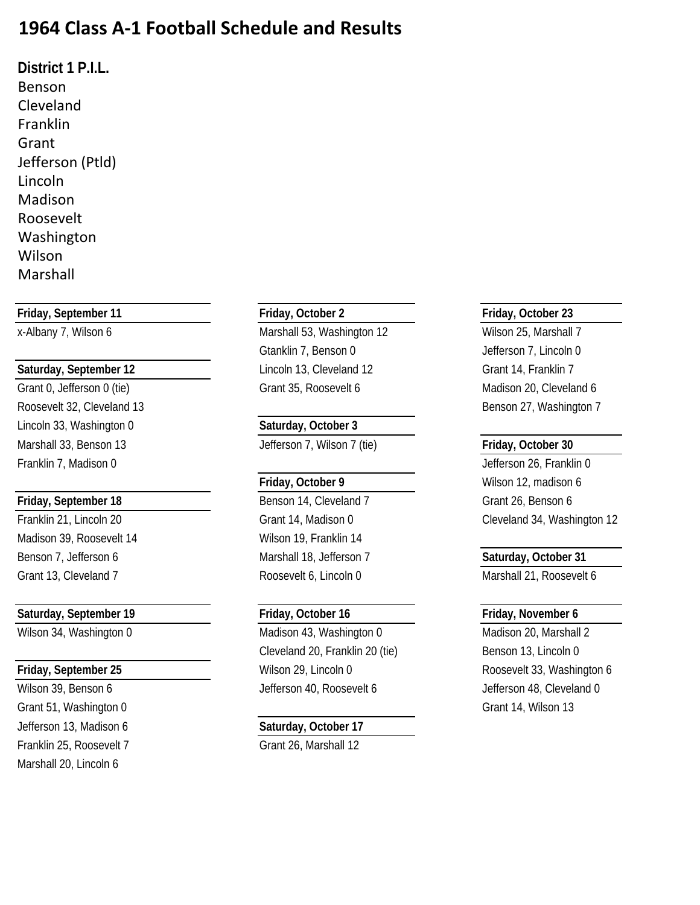## **1964 Class A-1 Football Schedule and Results**

**District 1 P.I.L.** Benson Cleveland Franklin Grant Jefferson (Ptld) Lincoln Madison Roosevelt Washington Wilson Marshall

### **Friday, September 11 Friday, October 2 Friday, October 23**

Roosevelt 32, Cleveland 13 Benson 27, Washington 7 Lincoln 33, Washington 0 **Saturday, October 3** Marshall 33, Benson 13 Jefferson 7, Wilson 7 (tie) **Friday, October 30** Franklin 7, Madison 0 Jefferson 26, Franklin 0

Madison 39, Roosevelt 14 Wilson 19, Franklin 14 Benson 7, Jefferson 6 Marshall 18, Jefferson 7 **Saturday, October 31**

### **Saturday, September 19 Friday, October 16 Friday, November 6**

Grant 51, Washington 0 Grant 14, Wilson 13 Jefferson 13, Madison 6 **Saturday, October 17** Franklin 25, Roosevelt 7 Grant 26, Marshall 12 Marshall 20, Lincoln 6

x-Albany 7, Wilson 6 Marshall 53, Washington 12 Wilson 25, Marshall 7 Gtanklin 7, Benson 0 Jefferson 7, Lincoln 0 Saturday, September 12 **Lincoln 13, Cleveland 12** Grant 14, Franklin 7 Grant 0, Jefferson 0 (tie) Crant 35, Roosevelt 6 Madison 20, Cleveland 6

**Friday, September 18** Benson 14, Cleveland 7 Grant 26, Benson 6 Grant 13, Cleveland 7 and 7 Roosevelt 6, Lincoln 0 Marshall 21, Roosevelt 6

Wilson 34, Washington 0 Madison 43, Washington 0 Madison 20, Marshall 2 Cleveland 20, Franklin 20 (tie) Benson 13, Lincoln 0 **Friday, September 25** Milson 29, Lincoln 0 Roosevelt 33, Washington 6 Wilson 39, Benson 6 **Jefferson 40, Roosevelt 6** Jefferson 48, Cleveland 0

Friday, October 9 **Wilson 12, madison 6** Franklin 21, Lincoln 20 Grant 14, Madison 0 Cleveland 34, Washington 12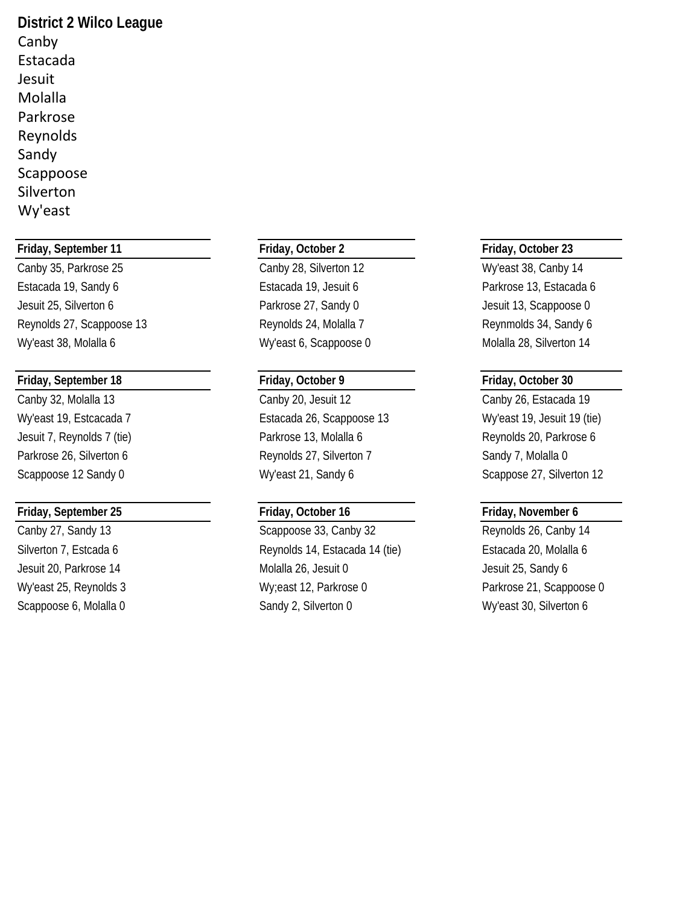**District 2 Wilco League** Canby Estacada Jesuit Molalla Parkrose Reynolds Sandy Scappoose Silverton Wy'east

### **Friday, September 11 Friday, October 2 Friday, October 23**

Canby 35, Parkrose 25 Canby 28, Silverton 12 Wy'east 38, Canby 14 Estacada 19, Sandy 6 Estacada 19, Jesuit 6 Parkrose 13, Estacada 6 Jesuit 25, Silverton 6 Parkrose 27, Sandy 0 Jesuit 13, Scappoose 0 Reynolds 27, Scappoose 13 **Reynolds 24, Molalla 7** Reynolds 24, Sandy 6

### **Friday, September 18 Friday, October 9 Friday, October 30**

### **Friday, September 25 Friday, October 16 Friday, November 6**

Wy'east 38, Molalla 6 **Wy'east 6, Scappoose 0** Molalla 28, Silverton 14

Canby 32, Molalla 13 Canby 20, Jesuit 12 Canby 26, Estacada 19 Wy'east 19, Estcacada 7 **Estacada 26, Scappoose 13** Wy'east 19, Jesuit 19 (tie) Jesuit 7, Reynolds 7 (tie) The State of Parkrose 13, Molalla 6 Reynolds 20, Parkrose 6 Parkrose 26, Silverton 6 **Reynolds 27, Silverton 7** Sandy 7, Molalla 0 Scappoose 12 Sandy 0 **Scappoose 12 Sandy 0** Wy'east 21, Sandy 6 Scappose 27, Silverton 12

Canby 27, Sandy 13 Scappoose 33, Canby 32 Reynolds 26, Canby 14 Silverton 7, Estcada 6 **Reynolds 14, Estacada 14 (tie)** Estacada 20, Molalla 6 Jesuit 20, Parkrose 14 Molalla 26, Jesuit 0 Jesuit 25, Sandy 6 Wy'east 25, Reynolds 3 Wy;east 12, Parkrose 0 Parkrose 21, Scappoose 0 Scappoose 6, Molalla 0 Sandy 2, Silverton 0 Wy'east 30, Silverton 6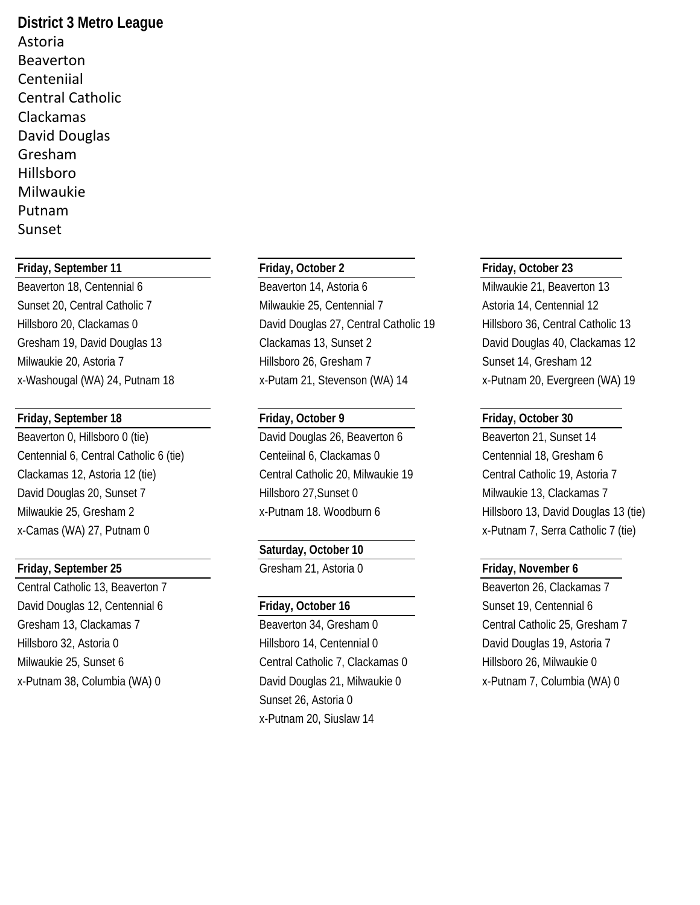**District 3 Metro League** Astoria Beaverton Centeniial Central Catholic Clackamas David Douglas Gresham Hillsboro Milwaukie Putnam Sunset

### **Friday, September 11 Friday, October 2 Friday, October 23**

Beaverton 18, Centennial 6 Beaverton 14, Astoria 6 Milwaukie 21, Beaverton 13

### **Friday, September 18 Friday, October 9 Friday, October 30**

Beaverton 0, Hillsboro 0 (tie) David Douglas 26, Beaverton 6 Beaverton 21, Sunset 14 Centennial 6, Central Catholic 6 (tie) Centeiinal 6, Clackamas 0 Centennial 18, Gresham 6 Clackamas 12, Astoria 12 (tie) Central Catholic 20, Milwaukie 19 Central Catholic 19, Astoria 7 David Douglas 20, Sunset 7 hillsboro 27, Sunset 0 Milwaukie 13, Clackamas 7 Milwaukie 25, Gresham 2 x-Putnam 18. Woodburn 6 Hillsboro 13, David Douglas 13 (tie)

Central Catholic 13, Beaverton 7 and 2008 and 2009 and 2008 and 2009 and 2009 and 2009 and 2009 and 2009 and 2009 and 2009 and 2009 and 2009 and 2009 and 2009 and 2009 and 2009 and 2009 and 2009 and 2009 and 2009 and 2009 David Douglas 12, Centennial 6 **Friday, October 16** Sunset 19, Centennial 6 Gresham 13, Clackamas 7 **Beaverton 34, Gresham 0** Central Catholic 25, Gresham 7 Hillsboro 32, Astoria 0 **Hillsboro 14, Centennial 0** David Douglas 19, Astoria 7 Milwaukie 25, Sunset 6 Central Catholic 7, Clackamas 0 Hillsboro 26, Milwaukie 0

Sunset 20, Central Catholic 7 Milwaukie 25, Centennial 7 Astoria 14, Centennial 12 Hillsboro 20, Clackamas 0 David Douglas 27, Central Catholic 19 Hillsboro 36, Central Catholic 13 Gresham 19, David Douglas 13 Clackamas 13, Sunset 2 David Douglas 40, Clackamas 12 Milwaukie 20, Astoria 7 The Sunset 14, Gresham 12 Hillsboro 26, Gresham 7 The Sunset 14, Gresham 12 x-Washougal (WA) 24, Putnam 18 x-Putam 21, Stevenson (WA) 14 x-Putnam 20, Evergreen (WA) 19

### **Saturday, October 10**

**Friday, September 25** Gresham 21, Astoria 0 **Friday, November 6**

x-Putnam 38, Columbia (WA) 0 David Douglas 21, Milwaukie 0 x-Putnam 7, Columbia (WA) 0 Sunset 26, Astoria 0 x-Putnam 20, Siuslaw 14

x-Camas (WA) 27, Putnam 0 x-Camas (WA) 27, Putnam 0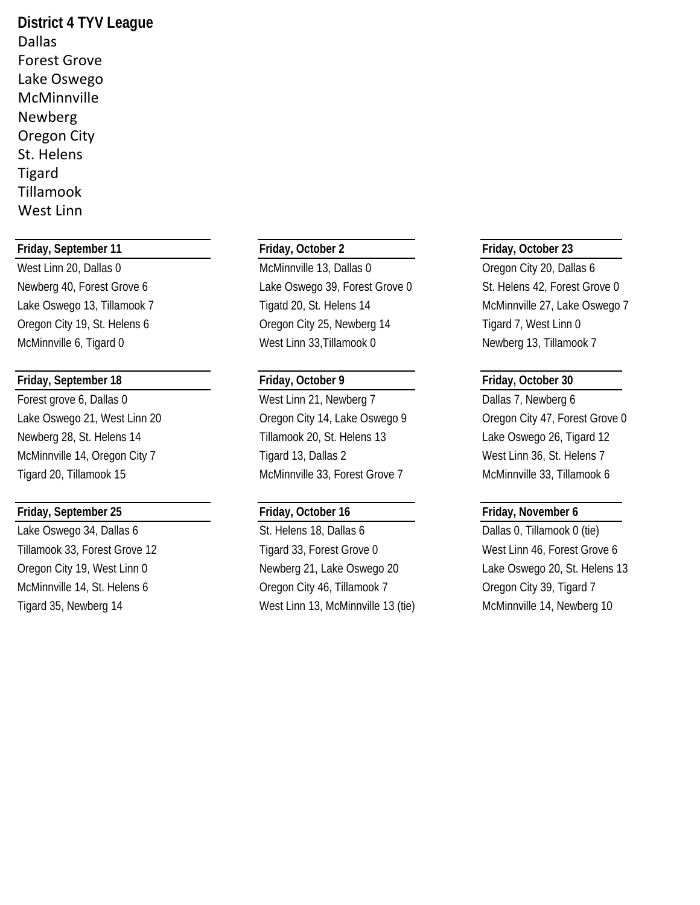**District 4 TYV League** Dallas Forest Grove Lake Oswego **McMinnville** Newberg Oregon City St. Helens Tigard Tillamook West Linn

### **Friday, September 11 Friday, October 2 Friday, October 23**

### **Friday, September 18 Friday, October 9 Friday, October 30**

Forest grove 6, Dallas 0 West Linn 21, Newberg 7 Dallas 7, Newberg 6

### **Friday, September 25 Friday, October 16 Friday, November 6**

West Linn 20, Dallas 0 McMinnville 13, Dallas 0 Oregon City 20, Dallas 6 Newberg 40, Forest Grove 6 Lake Oswego 39, Forest Grove 0 St. Helens 42, Forest Grove 0 Lake Oswego 13, Tillamook 7 Tigatd 20, St. Helens 14 McMinnville 27, Lake Oswego 7 Oregon City 19, St. Helens 6 Cregon City 25, Newberg 14 Tigard 7, West Linn 0 McMinnville 6, Tigard 0 West Linn 33,Tillamook 0 Newberg 13, Tillamook 7

Lake Oswego 21, West Linn 20 **Oregon City 14, Lake Oswego 9** Oregon City 47, Forest Grove 0 Newberg 28, St. Helens 14 Tillamook 20, St. Helens 13 Lake Oswego 26, Tigard 12 McMinnville 14, Oregon City 7 Tigard 13, Dallas 2 West Linn 36, St. Helens 7 Tigard 20, Tillamook 15 McMinnville 33, Forest Grove 7 McMinnville 33, Tillamook 6

Lake Oswego 34, Dallas 6 St. Helens 18, Dallas 6 Dallas 6 Dallas 0, Tillamook 0 (tie) Tillamook 33, Forest Grove 12 Tigard 33, Forest Grove 0 West Linn 46, Forest Grove 6 Oregon City 19, West Linn 0 Newberg 21, Lake Oswego 20 Lake Oswego 20, St. Helens 13 McMinnville 14, St. Helens 6 **Oregon City 46, Tillamook 7** Oregon City 39, Tigard 7 Tigard 35, Newberg 14 Translated a West Linn 13, McMinnville 13 (tie) McMinnville 14, Newberg 10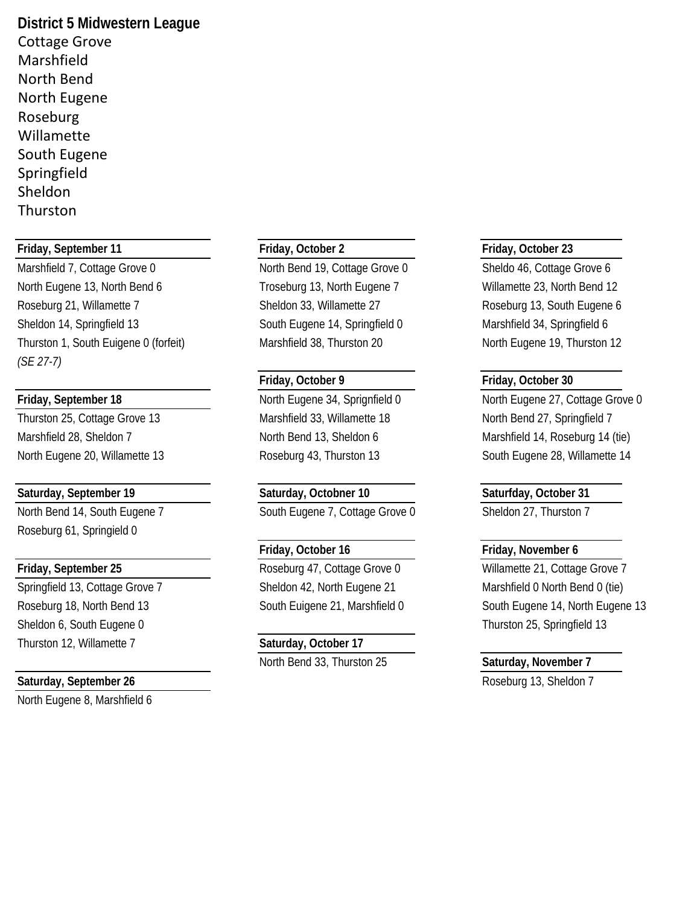**District 5 Midwestern League** Cottage Grove Marshfield North Bend North Eugene Roseburg Willamette South Eugene Springfield Sheldon **Thurston** 

### **Friday, September 11 Friday, October 2 Friday, October 23**

North Eugene 13, North Bend 6 Troseburg 13, North Eugene 7 Willamette 23, North Bend 12 Roseburg 21, Willamette 7 Sheldon 33, Willamette 27 Roseburg 13, South Eugene 6 Sheldon 14, Springfield 13 South Eugene 14, Springfield 0 Marshfield 34, Springfield 6 Thurston 1, South Euigene 0 (forfeit) Marshfield 38, Thurston 20 North Eugene 19, Thurston 12 *(SE 27-7)*

Marshfield 28, Sheldon 7 North Bend 13, Sheldon 6 Marshfield 14, Roseburg 14 (tie)

North Bend 14, South Eugene 7 South Eugene 7, Cottage Grove 0 Sheldon 27, Thurston 7 Roseburg 61, Springield 0

Sheldon 6, South Eugene 0 **Thurston 25, Springfield 13** Thurston 12, Willamette 7 **Saturday, October 17**

### **Saturday, September 26 Contract 20 Automobile 20 Automobile 20 Automobile 20 Automobile 20 Automobile 20 Automobile 20 Automobile 20 Automobile 20 Automobile 20 Automobile 20 Automobile 20 Automobile 20 Automobile 20 Au**

North Eugene 8, Marshfield 6

Marshfield 7, Cottage Grove 0 North Bend 19, Cottage Grove 0 Sheldo 46, Cottage Grove 6

Thurston 25, Cottage Grove 13 Marshfield 33, Willamette 18 North Bend 27, Springfield 7

# **Saturday, September 19 Saturday, Octobner 10 Saturfday, October 31**

Springfield 13, Cottage Grove 7 Sheldon 42, North Eugene 21 Marshfield 0 North Bend 0 (tie)

North Bend 33, Thurston 25 **Saturday, November 7**

### **Friday, October 9 Friday, October 30**

**Friday, September 18** North Eugene 34, Sprignfield 0 North Eugene 27, Cottage Grove 0 North Eugene 20, Willamette 13 Roseburg 43, Thurston 13 South Eugene 28, Willamette 14

### **Friday, October 16 Friday, November 6**

**Friday, September 25 Roseburg 47, Cottage Grove 0** Willamette 21, Cottage Grove 7 Roseburg 18, North Bend 13 South Eugene 21, Marshfield 0 South Eugene 14, North Eugene 13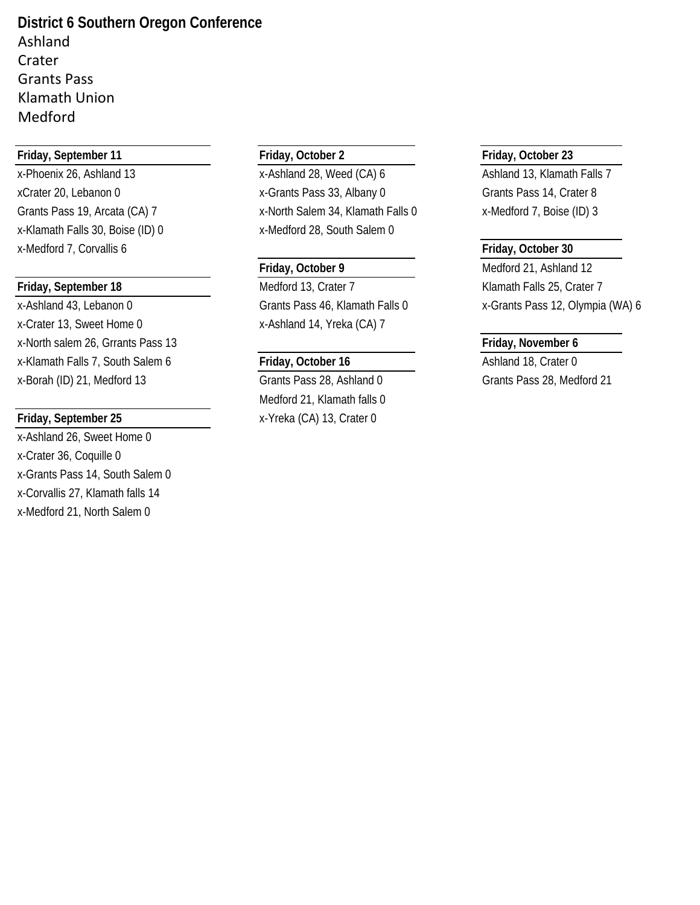**District 6 Southern Oregon Conference** Ashland Crater Grants Pass Klamath Union Medford

### **Friday, September 11 Friday, October 2 Friday, October 23**

x-Klamath Falls 30, Boise (ID) 0 x-Medford 28, South Salem 0 x-Medford 7, Corvallis 6 **Friday, October 30**

x-Crater 13, Sweet Home 0 x-Ashland 14, Yreka (CA) 7 x-North salem 26, Grrants Pass 13 **Friday, November 6** x-Klamath Falls 7, South Salem 6 **Friday, October 16** Ashland 18, Crater 0 x-Borah (ID) 21, Medford 13 Grants Pass 28, Ashland 0 Grants Pass 28, Medford 21

x-Ashland 26, Sweet Home 0 x-Crater 36, Coquille 0 x-Grants Pass 14, South Salem 0 x-Corvallis 27, Klamath falls 14 x-Medford 21, North Salem 0

x-Phoenix 26, Ashland 13 x-Ashland 28, Weed (CA) 6 Ashland 13, Klamath Falls 7 xCrater 20, Lebanon 0 x-Grants Pass 33, Albany 0 Grants Pass 14, Crater 8 Grants Pass 19, Arcata (CA) 7 x-North Salem 34, Klamath Falls 0 x-Medford 7, Boise (ID) 3

**Friday, September 18** Medford 13, Crater 7 Klamath Falls 25, Crater 7 Klamath Falls 25, Crater 7

Medford 21, Klamath falls 0 **Friday, September 25** x-Yreka (CA) 13, Crater 0

**Friday, October 9** Medford 21, Ashland 12 x-Ashland 43, Lebanon 0 Grants Pass 46, Klamath Falls 0 x-Grants Pass 12, Olympia (WA) 6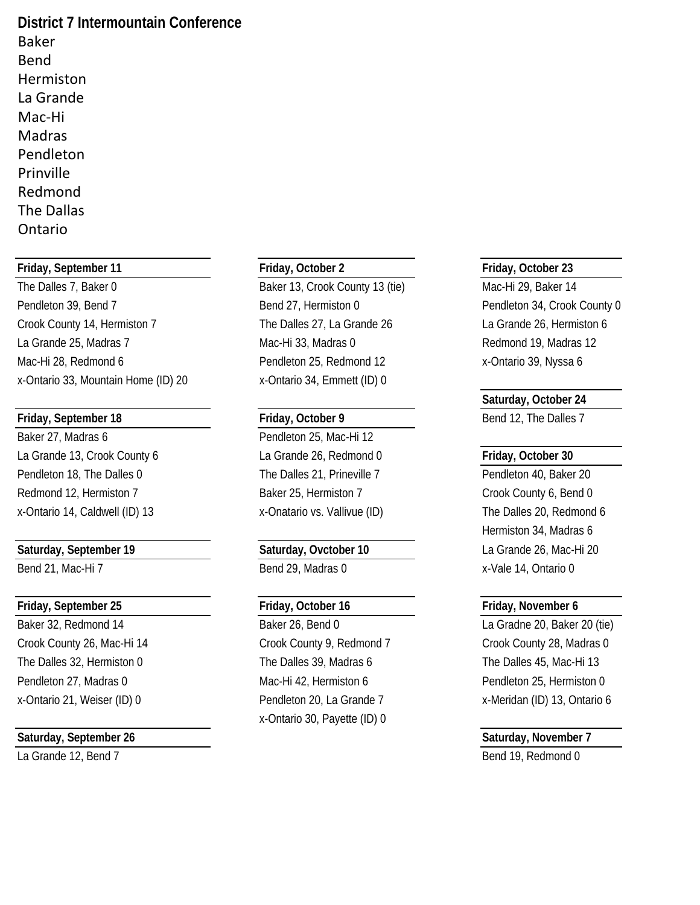**District 7 Intermountain Conference** Baker Bend Hermiston La Grande Mac-Hi Madras Pendleton Prinville Redmond The Dallas Ontario

### **Friday, September 11 Friday, October 2 Friday, October 23**

The Dalles 7, Baker 0 **Baker 13, Crook County 13 (tie)** Mac-Hi 29, Baker 14 Pendleton 39, Bend 7 **Bend 27, Hermiston 0** Pendleton 34, Crook County 0 Crook County 14, Hermiston 7 The Dalles 27, La Grande 26 La Grande 26, Hermiston 6 La Grande 25, Madras 7 **Mac-Hi 33, Madras 0** Mac-Hi 33, Madras 0 Redmond 19, Madras 12 Mac-Hi 28, Redmond 6 **Pendleton 25, Redmond 12** x-Ontario 39, Nyssa 6 x-Ontario 33, Mountain Home (ID) 20 x-Ontario 34, Emmett (ID) 0

### **Friday, September 18 Friday, October 9 Bend 12, The Dalles 7**

Baker 27, Madras 6 Pendleton 25, Mac-Hi 12 La Grande 13, Crook County 6 La Grande 26, Redmond 0 **Friday, October 30** Pendleton 18, The Dalles 0 The Dalles 21, Prineville 7 Pendleton 40, Baker 20 Redmond 12, Hermiston 7 Baker 25, Hermiston 7 Crook County 6, Bend 0 x-Ontario 14, Caldwell (ID) 13 x-Onatario vs. Vallivue (ID) The Dalles 20, Redmond 6

### **Friday, September 25 Friday, October 16 Friday, November 6**

### **Saturday, September 26 Saturday, November 7**

Baker 32, Redmond 14 **Baker 26, Bend 0** Baker 26, Bend 0 La Gradne 20, Baker 20 (tie) Crook County 26, Mac-Hi 14 Crook County 9, Redmond 7 Crook County 28, Madras 0 The Dalles 32, Hermiston 0 The Dalles 39, Madras 6 The Dalles 45, Mac-Hi 13 Pendleton 27, Madras 0 **Mac-Hi 42, Hermiston 6** Pendleton 25, Hermiston 0 Pendleton 25, Hermiston 0 x-Ontario 21, Weiser (ID) 0 Pendleton 20, La Grande 7 x-Meridan (ID) 13, Ontario 6 x-Ontario 30, Payette (ID) 0

### **Saturday, October 24**

Hermiston 34, Madras 6 **Saturday, September 19 Saturday, Ovctober 10** La Grande 26, Mac-Hi 20 Bend 21, Mac-Hi 7 Bend 29, Madras 0 x-Vale 14, Ontario 0

# La Grande 12, Bend 7 Bend 19, Redmond 0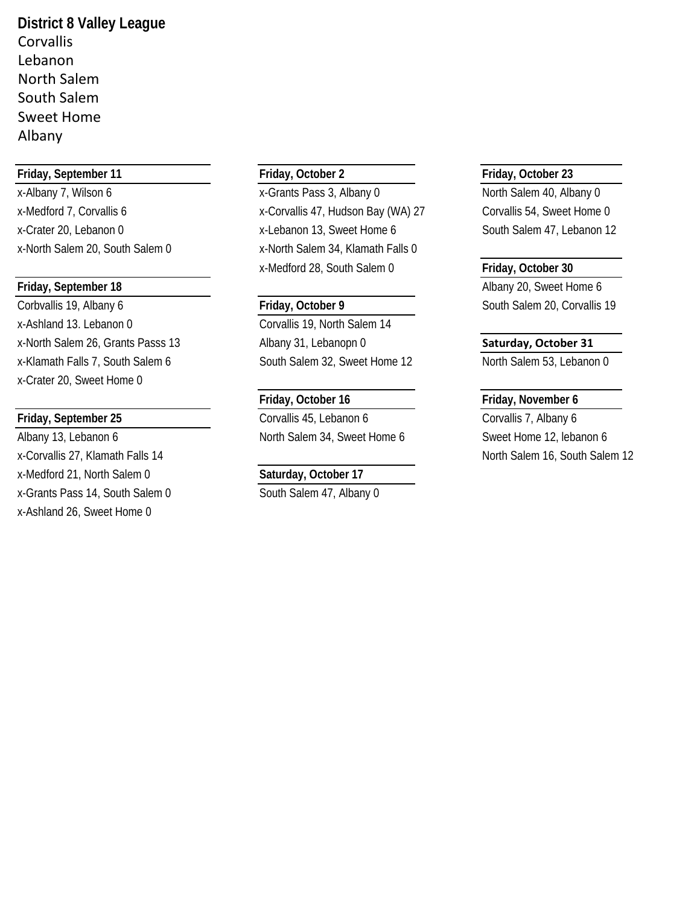**District 8 Valley League** Corvallis Lebanon North Salem South Salem Sweet Home Albany

### **Friday, September 11 Friday, October 2 Friday, October 23**

Corbvallis 19, Albany 6 **Friday, October 9** South Salem 20, Corvallis 19 x-Ashland 13. Lebanon 0 Corvallis 19, North Salem 14 x-North Salem 26, Grants Passs 13 Albany 31, Lebanopn 0 **Saturday, October 31** x-Klamath Falls 7, South Salem 6 South Salem 32, Sweet Home 12 North Salem 53, Lebanon 0 x-Crater 20, Sweet Home 0

Albany 13, Lebanon 6 North Salem 34, Sweet Home 6 Sweet Home 12, lebanon 6 x-Corvallis 27, Klamath Falls 14 North Salem 12 North Salem 16, South Salem 12 x-Medford 21, North Salem 0 **Saturday, October 17** x-Grants Pass 14, South Salem 0 South Salem 47, Albany 0 x-Ashland 26, Sweet Home 0

x-Albany 7, Wilson 6 <br>x-Grants Pass 3, Albany 0 North Salem 40, Albany 0 x-Medford 7, Corvallis 6 x-Corvallis 47, Hudson Bay (WA) 27 Corvallis 54, Sweet Home 0 x-Crater 20, Lebanon 0 x-Lebanon 13, Sweet Home 6 South Salem 47, Lebanon 12 x-North Salem 20, South Salem 0 x-North Salem 34, Klamath Falls 0 x-Medford 28, South Salem 0 **Friday, October 30**

# **Friday, September 25** Corvallis 45, Lebanon 6 Corvallis 7, Albany 6

**Friday, September 18** Albany 20, Sweet Home 6

### **Friday, October 16 Friday, November 6**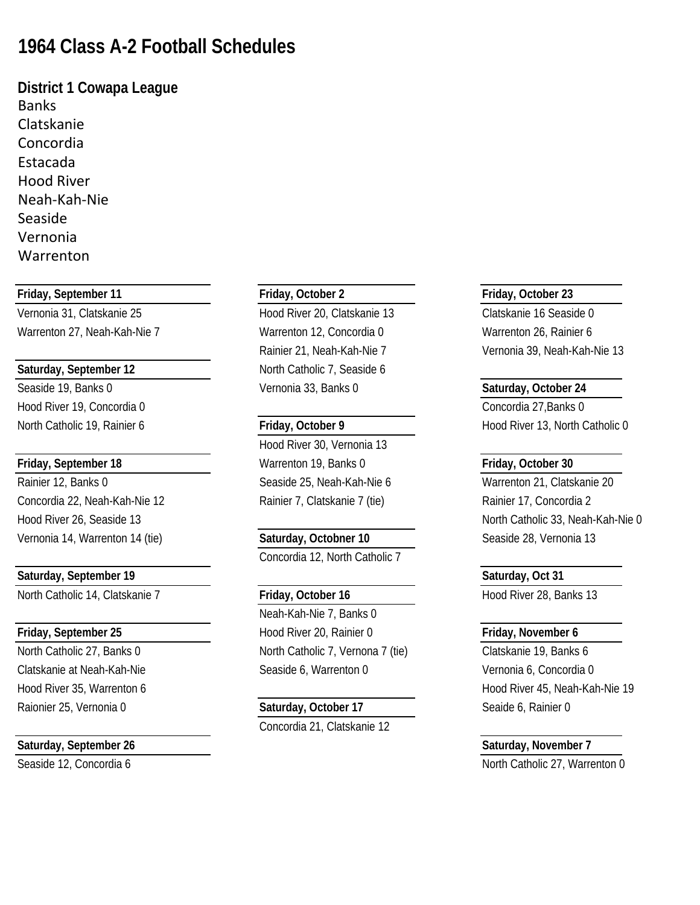## **1964 Class A-2 Football Schedules**

**District 1 Cowapa League Banks** Clatskanie Concordia Estacada Hood River Neah-Kah-Nie Seaside Vernonia Warrenton

### **Friday, September 11 Friday, October 2 Friday, October 23**

Warrenton 27, Neah-Kah-Nie 7 Warrenton 12, Concordia 0 Warrenton 26, Rainier 6

Hood River 19, Concordia 0 Concordia 27,Banks 0

Concordia 22, Neah-Kah-Nie 12 Rainier 7, Clatskanie 7 (tie) Rainier 17, Concordia 2 Vernonia 14, Warrenton 14 (tie) **Saturday, Octobner 10** Seaside 28, Vernonia 13

### **Saturday, September 19 Saturday, Oct 31**

North Catholic 14, Clatskanie 7 **Friday, October 16** Hood River 28, Banks 13

Raionier 25, Vernonia 0 **Saturday, October 17** Seaide 6, Rainier 0

### **Saturday, September 26 Saturday, November 7**

Vernonia 31, Clatskanie 25 Hood River 20, Clatskanie 13 Clatskanie 16 Seaside 0 **Saturday, September 12** North Catholic 7, Seaside 6 Seaside 19, Banks 0 Vernonia 33, Banks 0 **Saturday, October 24**

Hood River 30, Vernonia 13 **Friday, September 18** Warrenton 19, Banks 0 **Friday, October 30** Rainier 12, Banks 0 Seaside 25, Neah-Kah-Nie 6 Warrenton 21, Clatskanie 20

Concordia 12, North Catholic 7

Neah-Kah-Nie 7, Banks 0 **Friday, September 25 Hood River 20, Rainier 0 <b>Friday, November 6 Friday, November 6** North Catholic 27, Banks 0 North Catholic 7, Vernona 7 (tie) Clatskanie 19, Banks 6 Clatskanie at Neah-Kah-Nie Seaside 6, Warrenton 0 Vernonia 6, Concordia 0

# Concordia 21, Clatskanie 12

Rainier 21, Neah-Kah-Nie 7 Vernonia 39, Neah-Kah-Nie 13

North Catholic 19, Rainier 6 **Friday, October 9 Friday, October 9** Hood River 13, North Catholic 0

Hood River 26, Seaside 13 North Catholic 33, Neah-Kah-Nie 0

Hood River 35, Warrenton 6 Hood River 45, Neah-Kah-Nie 19

Seaside 12, Concordia 6 North Catholic 27, Warrenton 0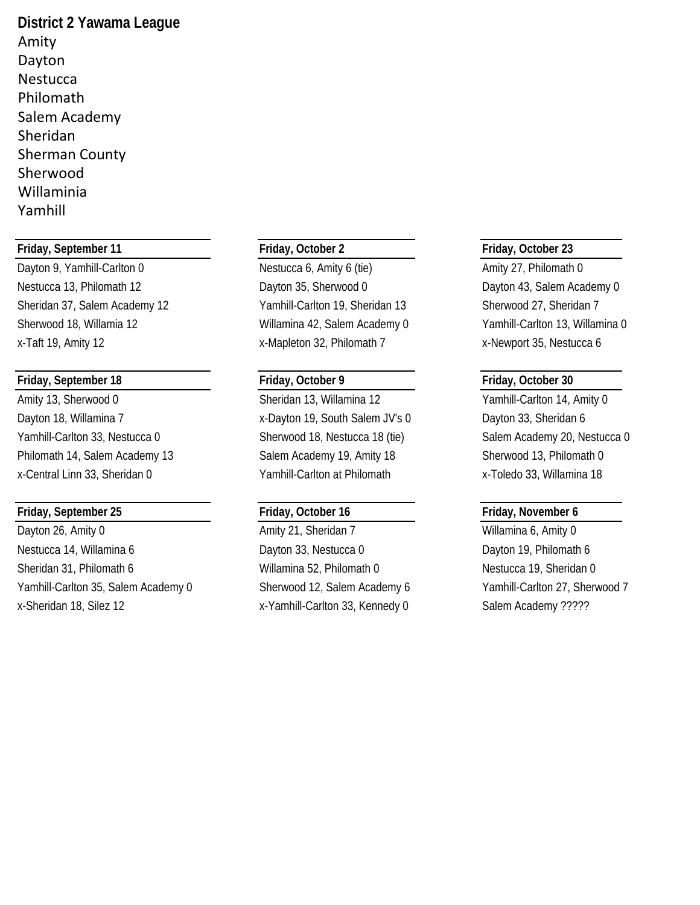**District 2 Yawama League** Amity Dayton **Nestucca** Philomath Salem Academy Sheridan Sherman County Sherwood Willaminia Yamhill

### **Friday, September 11 Friday, October 2 Friday, October 23**

### **Friday, September 18 Friday, October 9 Friday, October 30**

Amity 13, Sherwood 0 Sheridan 13, Willamina 12 Yamhill-Carlton 14, Amity 0 Dayton 18, Willamina 7 The State of the Supersytem 19, South Salem JV's 0 Dayton 33, Sheridan 6 Yamhill-Carlton 33, Nestucca 0 Sherwood 18, Nestucca 18 (tie) Salem Academy 20, Nestucca 0 Philomath 14, Salem Academy 13 Salem Academy 19, Amity 18 Sherwood 13, Philomath 0 x-Central Linn 33, Sheridan 0 Yamhill-Carlton at Philomath x-Toledo 33, Willamina 18

### **Friday, September 25 Friday, October 16 Friday, November 6**

Dayton 26, Amity 0 **Amity 21, Sheridan 7** Willamina 6, Amity 0 Nestucca 14, Willamina 6 Dayton 33, Nestucca 0 Dayton 19, Philomath 6 Sheridan 31, Philomath 6 Willamina 52, Philomath 0 Nestucca 19, Sheridan 0 Yamhill-Carlton 35, Salem Academy 0 Sherwood 12, Salem Academy 6 Yamhill-Carlton 27, Sherwood 7

Dayton 9, Yamhill-Carlton 0 Nestucca 6, Amity 6 (tie) Amity 27, Philomath 0 Nestucca 13, Philomath 12 Dayton 35, Sherwood 0 Dayton 43, Salem Academy 0 Sheridan 37, Salem Academy 12 Yamhill-Carlton 19, Sheridan 13 Sherwood 27, Sheridan 7 Sherwood 18, Willamia 12 Willamina 42, Salem Academy 0 Yamhill-Carlton 13, Willamina 0 x-Taft 19, Amity 12 x-Mapleton 32, Philomath 7 x-Newport 35, Nestucca 6

x-Sheridan 18, Silez 12 x-Yamhill-Carlton 33, Kennedy 0 Salem Academy ?????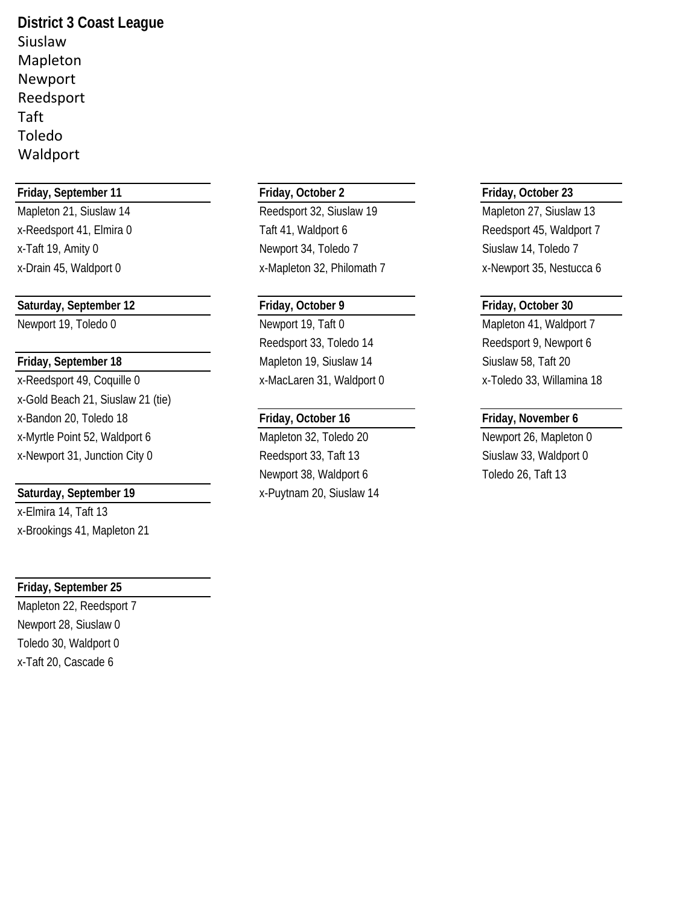**District 3 Coast League** Siuslaw Mapleton Newport Reedsport Taft Toledo Waldport

### **Friday, September 11 Friday, October 2 Friday, October 23**

Mapleton 21, Siuslaw 14 **Reedsport 32, Siuslaw 19** Mapleton 27, Siuslaw 13

### **Saturday, September 12 Friday, October 9 Friday, October 30**

x-Reedsport 49, Coquille 0 x-MacLaren 31, Waldport 0 x-Toledo 33, Willamina 18 x-Gold Beach 21, Siuslaw 21 (tie) x-Bandon 20, Toledo 18 **Friday, October 16 Friday, November 6** x-Myrtle Point 52, Waldport 6 Mapleton 32, Toledo 20 Mewport 26, Mapleton 0

x-Elmira 14, Taft 13 x-Brookings 41, Mapleton 21

### **Friday, September 25**

Mapleton 22, Reedsport 7 Newport 28, Siuslaw 0 Toledo 30, Waldport 0 x-Taft 20, Cascade 6

x-Reedsport 41, Elmira 0 Taft 41, Waldport 6 Reedsport 45, Waldport 7 x-Taft 19, Amity 0 Newport 34, Toledo 7 Newport 34, Toledo 7 Siuslaw 14, Toledo 7

Newport 19, Toledo 0 Newport 19, Taft 0 Mapleton 41, Waldport 7 Reedsport 33, Toledo 14 Reedsport 9, Newport 6 **Friday, September 18** Mapleton 19, Siuslaw 14 Siuslaw 58, Taft 20

x-Newport 31, Junction City 0 Reedsport 33, Taft 13 Siuslaw 33, Waldport 0 Newport 38, Waldport 6 Toledo 26, Taft 13 **Saturday, September 19** X-Puytnam 20, Siuslaw 14

x-Drain 45, Waldport 0 x-Mapleton 32, Philomath 7 x-Newport 35, Nestucca 6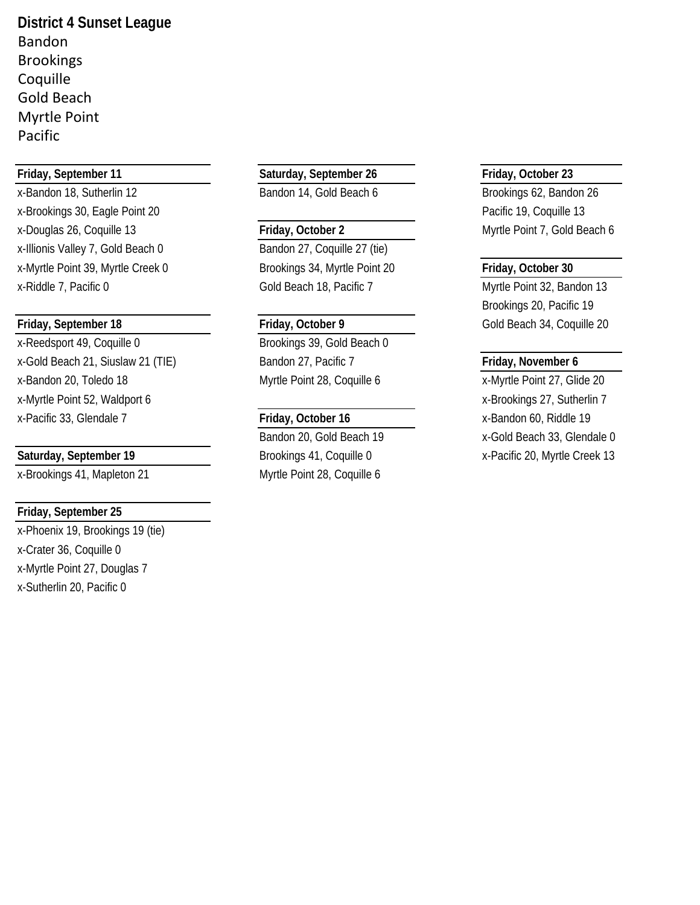**District 4 Sunset League** Bandon Brookings Coquille Gold Beach Myrtle Point Pacific

x-Bandon 18, Sutherlin 12 **Bandon 14, Gold Beach 6** Brookings 62, Bandon 26 x-Brookings 30, Eagle Point 20 **Pacific 19, Coquille 13** Pacific 19, Coquille 13 x-Douglas 26, Coquille 13 **Friday, October 2** Myrtle Point 7, Gold Beach 6 x-Illionis Valley 7, Gold Beach 0 Bandon 27, Coquille 27 (tie) x-Myrtle Point 39, Myrtle Creek 0 Brookings 34, Myrtle Point 20 **Friday, October 30**

x-Reedsport 49, Coquille 0 Brookings 39, Gold Beach 0 x-Gold Beach 21, Siuslaw 21 (TIE) Bandon 27, Pacific 7 **Friday, November 6** x-Bandon 20, Toledo 18 Myrtle Point 28, Coquille 6 x-Myrtle Point 27, Glide 20 x-Myrtle Point 52, Waldport 6 x-Brookings 27, Sutherlin 7 x-Pacific 33, Glendale 7 **Friday, October 16** x-Bandon 60, Riddle 19

### **Friday, September 25**

x-Phoenix 19, Brookings 19 (tie) x-Crater 36, Coquille 0 x-Myrtle Point 27, Douglas 7 x-Sutherlin 20, Pacific 0

### **Friday, September 11 Saturday, September 26 Friday, October 23**

x-Riddle 7, Pacific 0 Gold Beach 18, Pacific 7 Myrtle Point 32, Bandon 13

x-Brookings 41, Mapleton 21 Myrtle Point 28, Coquille 6

Brookings 20, Pacific 19 **Friday, September 18 Friday, October 9** Gold Beach 34, Coquille 20

Bandon 20, Gold Beach 19 x-Gold Beach 33, Glendale 0 **Saturday, September 19** Brookings 41, Coquille 0 x-Pacific 20, Myrtle Creek 13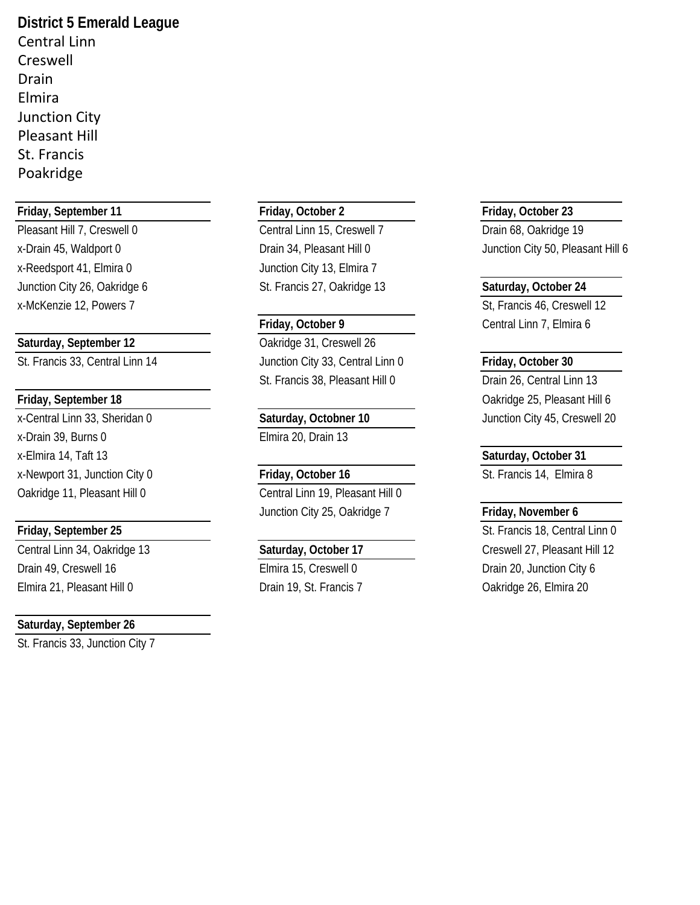**District 5 Emerald League** Central Linn Creswell Drain Elmira Junction City Pleasant Hill St. Francis Poakridge

### **Friday, September 11 Friday, October 2 Friday, October 23**

x-Reedsport 41, Elmira 0 Junction City 13, Elmira 7 Junction City 26, Oakridge 6 St. Francis 27, Oakridge 13 **Saturday, October 24**

x-Drain 39, Burns 0 Elmira 20, Drain 13 x-Elmira 14, Taft 13 **Saturday, October 31** x-Newport 31, Junction City 0 **Friday, October 16** St. Francis 14, Elmira 8

Drain 49, Creswell 16 **Elmira 15, Creswell 0** Drain 20, Junction City 6 Elmira 21, Pleasant Hill 0 Drain 19, St. Francis 7 Oakridge 26, Elmira 20

### **Saturday, September 26**

St. Francis 33, Junction City 7

Pleasant Hill 7, Creswell 0 Central Linn 15, Creswell 7 Drain 68, Oakridge 19

Saturday, September 12 **Calculary** Cakridge 31, Creswell 26 St. Francis 33, Central Linn 14 Junction City 33, Central Linn 0 **Friday, October 30** St. Francis 38, Pleasant Hill 0 Drain 26, Central Linn 13

Oakridge 11, Pleasant Hill 0 Central Linn 19, Pleasant Hill 0 Junction City 25, Oakridge 7 **Friday, November 6**

x-Drain 45, Waldport 0 **Drain 34, Pleasant Hill 0** Junction City 50, Pleasant Hill 6

x-McKenzie 12, Powers 7 St, Francis 46, Creswell 12 **Friday, October 9** Central Linn 7, Elmira 6

**Friday, September 18** Oakridge 25, Pleasant Hill 6 x-Central Linn 33, Sheridan 0 **Saturday, Octobner 10** Junction City 45, Creswell 20

**Friday, September 25** St. Francis 18, Central Linn 0 Central Linn 34, Oakridge 13 **Saturday, October 17** Creswell 27, Pleasant Hill 12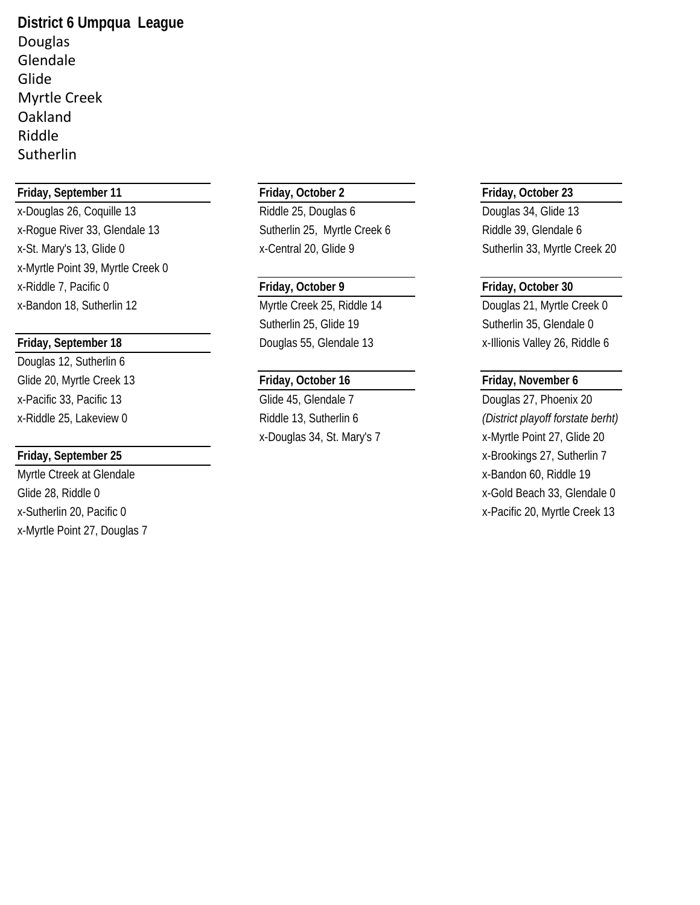**District 6 Umpqua League** Douglas Glendale Glide Myrtle Creek **Oakland** Riddle Sutherlin

### **Friday, September 11 Friday, October 2 Friday, October 23**

x-Douglas 26, Coquille 13 Riddle 25, Douglas 6 Douglas 34, Glide 13 x-Roque River 33, Glendale 13 Sutherlin 25, Myrtle Creek 6 Riddle 39, Glendale 6 x-St. Mary's 13, Glide 0 x-Central 20, Glide 9 Sutherlin 33, Myrtle Creek 20 x-Myrtle Point 39, Myrtle Creek 0 x-Riddle 7, Pacific 0 **Friday, October 9 Friday, October 30** x-Bandon 18, Sutherlin 12 Myrtle Creek 25, Riddle 14 Douglas 21, Myrtle Creek 0

Douglas 12, Sutherlin 6 Glide 20, Myrtle Creek 13 **Friday, October 16 Friday, November 6** x-Pacific 33, Pacific 13 Glide 45, Glendale 7 Douglas 27, Phoenix 20

x-Myrtle Point 27, Douglas 7

Sutherlin 25, Glide 19 Sutherlin 35, Glendale 0

**Friday, September 18** Douglas 55, Glendale 13 x-Illionis Valley 26, Riddle 6

x-Riddle 25, Lakeview 0 Riddle 13, Sutherlin 6 *(District playoff forstate berht)* x-Douglas 34, St. Mary's 7 x-Myrtle Point 27, Glide 20 **Friday, September 25** x-Brookings 27, Sutherlin 7 Myrtle Ctreek at Glendale **X-Bandon 60, Riddle 19** x-Bandon 60, Riddle 19 Glide 28, Riddle 0 x-Gold Beach 33, Glendale 0 x-Sutherlin 20, Pacific 0 x-Pacific 20, Myrtle Creek 13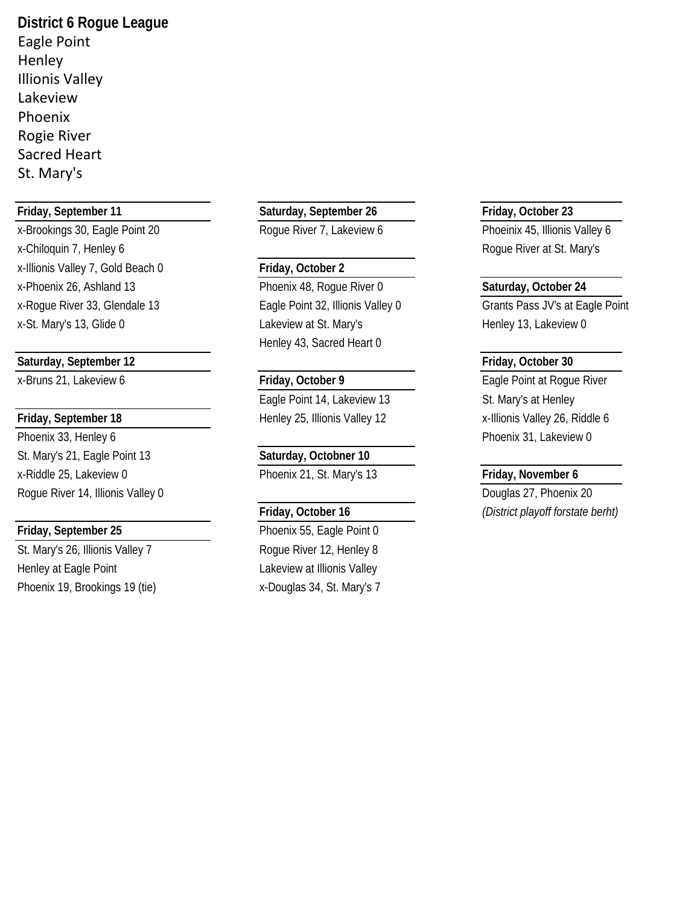**District 6 Rogue League** Eagle Point **Henley** Illionis Valley Lakeview Phoenix Rogie River Sacred Heart St. Mary's

x-Brookings 30, Eagle Point 20 Roque River 7, Lakeview 6 Phoeinix 45, Illionis Valley 6 x-Chiloquin 7, Henley 6 **Rogue River at St. Mary's** Rogue River at St. Mary's x-Illionis Valley 7, Gold Beach 0 **Friday, October 2** x-Phoenix 26, Ashland 13 Phoenix 48, Rogue River 0 **Saturday, October 24** x-Rogue River 33, Glendale 13 **Eagle Point 32, Illionis Valley 0** Grants Pass JV's at Eagle Point

### **Saturday, September 12 Friday, October 30**

Phoenix 33, Henley 6 **Phoenix 31, Lakeview 0** Phoenix 31, Lakeview 0 St. Mary's 21, Eagle Point 13 **Saturday, Octobner 10** x-Riddle 25, Lakeview 0 Phoenix 21, St. Mary's 13 **Friday, November 6** Rogue River 14, Illionis Valley 0 **Douglas 27, Phoenix 20** 

St. Mary's 26, Illionis Valley 7 Rogue River 12, Henley 8 Henley at Eagle Point **Lakeview at Illionis Valley** Phoenix 19, Brookings 19 (tie) x-Douglas 34, St. Mary's 7

**Friday, September 11 Saturday, September 26 Friday, October 23**

x-St. Mary's 13, Glide 0 Lakeview at St. Mary's Henley 13, Lakeview 0 Henley 43, Sacred Heart 0

Eagle Point 14, Lakeview 13 St. Mary's at Henley Friday, September 18 **Filter 18** Henley 25, Illionis Valley 12 x-Illionis Valley 26, Riddle 6

**Friday, September 25** Phoenix 55, Eagle Point 0

x-Bruns 21, Lakeview 6 **Friday, October 9** Eagle Point at Rogue River

**Friday, October 16** *(District playoff forstate berht)*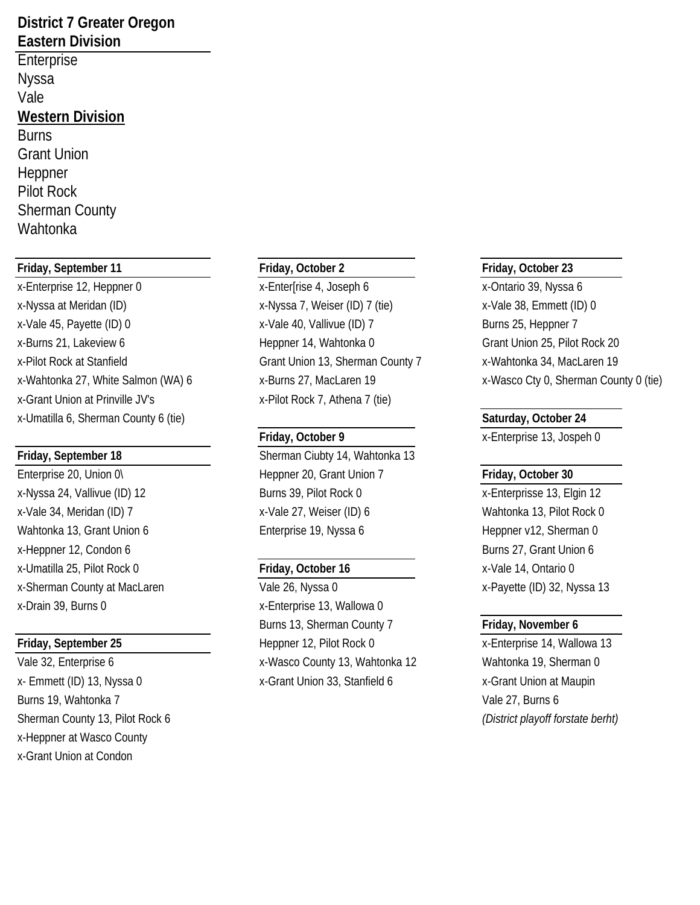### **District 7 Greater Oregon Eastern Division**

Enterprise Nyssa Vale **Western Division** Burns Grant Union Heppner Pilot Rock Sherman County Wahtonka

### **Friday, September 11 Friday, October 2 Friday, October 23**

x-Enterprise 12, Heppner 0 x-Enterprise 4, Joseph 6 x-Ontario 39, Nyssa 6 x-Nyssa at Meridan (ID) x-Nyssa 7, Weiser (ID) 7 (tie) x-Vale 38, Emmett (ID) 0 x-Vale 45, Payette (ID) 0 x-Vale 40, Vallivue (ID) 7 Burns 25, Heppner 7 x-Burns 21, Lakeview 6 Heppner 14, Wahtonka 0 Grant Union 25, Pilot Rock 20 x-Pilot Rock at Stanfield Grant Union 13, Sherman County 7 x-Wahtonka 34, MacLaren 19 x-Grant Union at Prinville JV's x-Pilot Rock 7, Athena 7 (tie) x-Umatilla 6, Sherman County 6 (tie) **Saturday, October 24** 

x-Heppner 12, Condon 6 Burns 27, Grant Union 6 x-Umatilla 25, Pilot Rock 0 **Friday, October 16** x-Vale 14, Ontario 0 x-Sherman County at MacLaren Vale 26, Nyssa 0 x-Payette (ID) 32, Nyssa 13 x-Drain 39, Burns 0 x-Enterprise 13, Wallowa 0

Burns 19, Wahtonka 7 Vale 27, Burns 6 Sherman County 13, Pilot Rock 6 *(District playoff forstate berht)* x-Heppner at Wasco County x-Grant Union at Condon

**Friday, September 18** Sherman Ciubty 14, Wahtonka 13 Enterprise 20, Union 0\ **Heppner 20, Grant Union 7** Friday, October 30 x-Nyssa 24, Vallivue (ID) 12 Burns 39, Pilot Rock 0 x-Enterprisse 13, Elgin 12 x-Vale 34, Meridan (ID) 7 x-Vale 27, Weiser (ID) 6 Wahtonka 13, Pilot Rock 0 Wahtonka 13, Grant Union 6 **Enterprise 19, Nyssa 6** Heppner v12, Sherman 0

Burns 13, Sherman County 7 **Friday, November 6 Friday, September 25** Heppner 12, Pilot Rock 0 x-Enterprise 14, Wallowa 13 Vale 32, Enterprise 6 x-Wasco County 13, Wahtonka 12 Wahtonka 19, Sherman 0 x- Emmett (ID) 13, Nyssa 0 x-Grant Union 33, Stanfield 6 x-Grant Union at Maupin

x-Wahtonka 27, White Salmon (WA) 6 x-Burns 27, MacLaren 19 x-Wasco Cty 0, Sherman County 0 (tie)

**Friday, October 9** x-Enterprise 13, Jospeh 0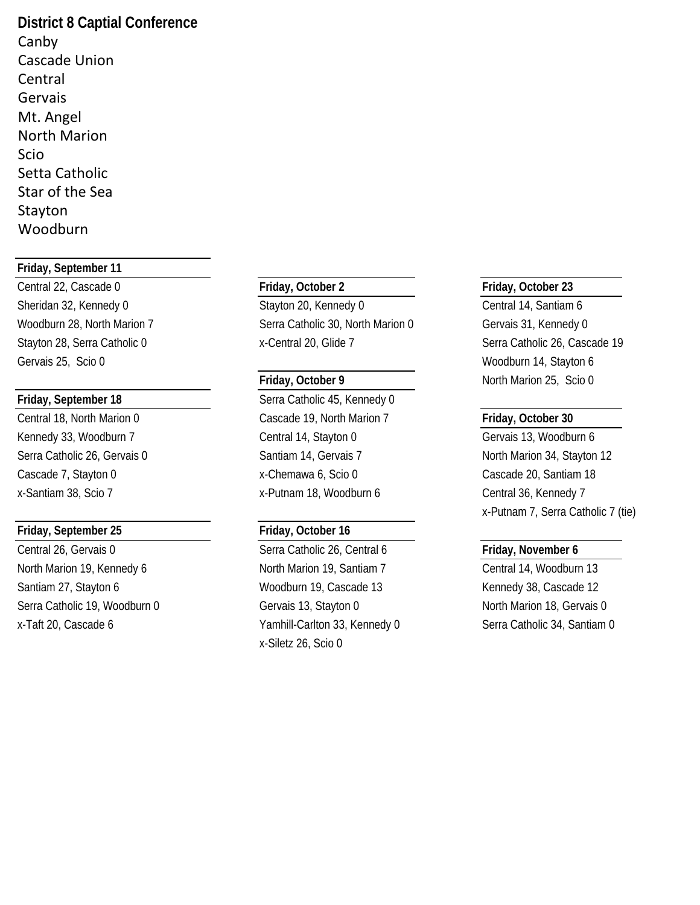**District 8 Captial Conference** Canby Cascade Union Central Gervais Mt. Angel North Marion Scio Setta Catholic Star of the Sea Stayton Woodburn

### **Friday, September 11**

Central 22, Cascade 0 **Friday, October 2 Friday, October 23** Sheridan 32, Kennedy 0 Stayton 20, Kennedy 0 Central 14, Santiam 6 Gervais 25, Scio 0 Woodburn 14, Stayton 6

### **Friday, September 25 Friday, October 16**

Central 26, Gervais 0 **Serra Catholic 26, Central 6 Friday, November 6 Friday**, November 6 North Marion 19, Kennedy 6 North Marion 19, Santiam 7 Central 14, Woodburn 13 Santiam 27, Stayton 6 **Kennedy 38, Cascade 12** Woodburn 19, Cascade 13 Kennedy 38, Cascade 12 Serra Catholic 19, Woodburn 0 Gervais 13, Stayton 0 Corvais 13, Stayton 0 North Marion 18, Gervais 0 x-Taft 20, Cascade 6 Yamhill-Carlton 33, Kennedy 0 Serra Catholic 34, Santiam 0

Woodburn 28, North Marion 7 Serra Catholic 30, North Marion 0 Gervais 31, Kennedy 0 Stayton 28, Serra Catholic 0 x-Central 20, Glide 7 Serra Catholic 26, Cascade 19

**Friday, September 18** Serra Catholic 45, Kennedy 0 Central 18, North Marion 0 Cascade 19, North Marion 7 **Friday, October 30** Kennedy 33, Woodburn 7 Central 14, Stayton 0 Gervais 13, Woodburn 6 Serra Catholic 26, Gervais 0 Santiam 14, Gervais 7 North Marion 34, Stayton 12 Cascade 7, Stayton 0 x-Chemawa 6, Scio 0 Cascade 20, Santiam 18 x-Santiam 38, Scio 7 x-Putnam 18, Woodburn 6 Central 36, Kennedy 7

x-Siletz 26, Scio 0

**Friday, October 9** North Marion 25, Scio 0

x-Putnam 7, Serra Catholic 7 (tie)